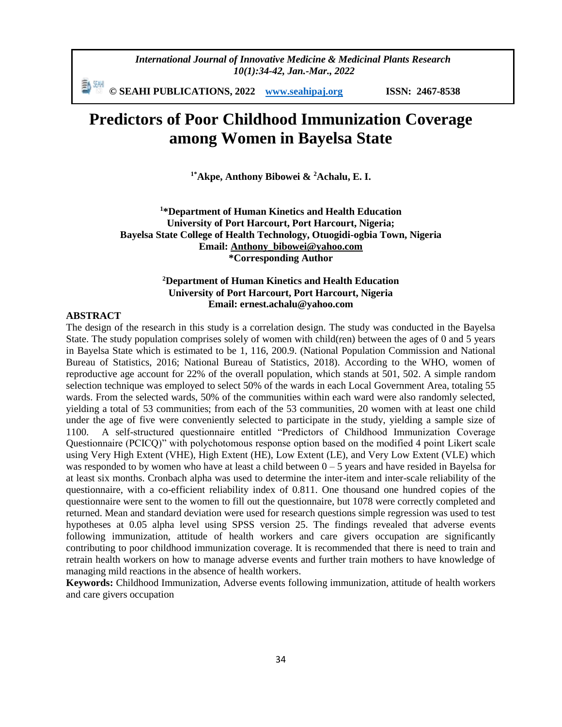*International Journal of Innovative Medicine & Medicinal Plants Research 10(1):34-42, Jan.-Mar., 2022*

動洲 **© SEAHI PUBLICATIONS, 2022 [www.seahipaj.org](http://www.seahipaj.org/) ISSN: 2467-8538**

# **Predictors of Poor Childhood Immunization Coverage among Women in Bayelsa State**

**1\*Akpe, Anthony Bibowei & <sup>2</sup>Achalu, E. I.**

**<sup>1</sup>\*Department of Human Kinetics and Health Education University of Port Harcourt, Port Harcourt, Nigeria; Bayelsa State College of Health Technology, Otuogidi-ogbia Town, Nigeria Email: [Anthony\\_bibowei@yahoo.com](mailto:Anthony_bibowei@yahoo.com) \*Corresponding Author**

# **<sup>2</sup>Department of Human Kinetics and Health Education University of Port Harcourt, Port Harcourt, Nigeria Email: ernest.achalu@yahoo.com**

#### **ABSTRACT**

The design of the research in this study is a correlation design. The study was conducted in the Bayelsa State. The study population comprises solely of women with child(ren) between the ages of 0 and 5 years in Bayelsa State which is estimated to be 1, 116, 200.9. (National Population Commission and National Bureau of Statistics, 2016; National Bureau of Statistics, 2018). According to the WHO, women of reproductive age account for 22% of the overall population, which stands at 501, 502. A simple random selection technique was employed to select 50% of the wards in each Local Government Area, totaling 55 wards. From the selected wards, 50% of the communities within each ward were also randomly selected, yielding a total of 53 communities; from each of the 53 communities, 20 women with at least one child under the age of five were conveniently selected to participate in the study, yielding a sample size of 1100. A self-structured questionnaire entitled "Predictors of Childhood Immunization Coverage Questionnaire (PCICQ)" with polychotomous response option based on the modified 4 point Likert scale using Very High Extent (VHE), High Extent (HE), Low Extent (LE), and Very Low Extent (VLE) which was responded to by women who have at least a child between  $0 - 5$  years and have resided in Bayelsa for at least six months. Cronbach alpha was used to determine the inter-item and inter-scale reliability of the questionnaire, with a co-efficient reliability index of 0.811. One thousand one hundred copies of the questionnaire were sent to the women to fill out the questionnaire, but 1078 were correctly completed and returned. Mean and standard deviation were used for research questions simple regression was used to test hypotheses at 0.05 alpha level using SPSS version 25. The findings revealed that adverse events following immunization, attitude of health workers and care givers occupation are significantly contributing to poor childhood immunization coverage. It is recommended that there is need to train and retrain health workers on how to manage adverse events and further train mothers to have knowledge of managing mild reactions in the absence of health workers.

**Keywords:** Childhood Immunization, Adverse events following immunization, attitude of health workers and care givers occupation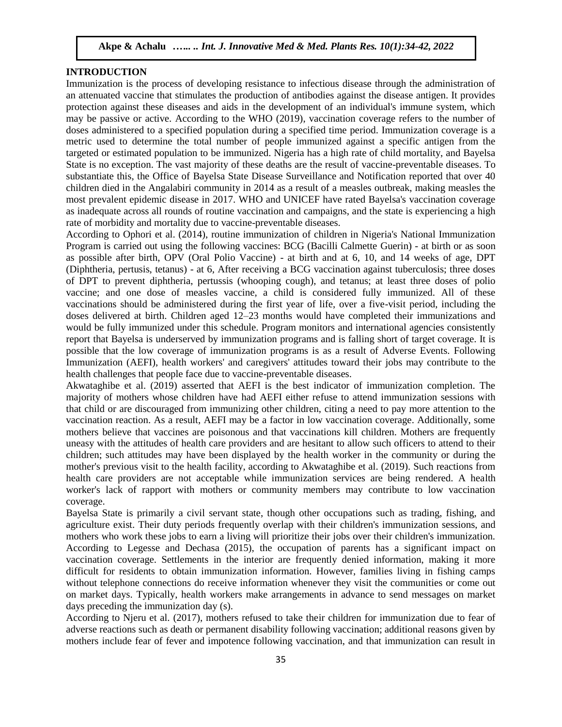# **INTRODUCTION**

Immunization is the process of developing resistance to infectious disease through the administration of an attenuated vaccine that stimulates the production of antibodies against the disease antigen. It provides protection against these diseases and aids in the development of an individual's immune system, which may be passive or active. According to the WHO (2019), vaccination coverage refers to the number of doses administered to a specified population during a specified time period. Immunization coverage is a metric used to determine the total number of people immunized against a specific antigen from the targeted or estimated population to be immunized. Nigeria has a high rate of child mortality, and Bayelsa State is no exception. The vast majority of these deaths are the result of vaccine-preventable diseases. To substantiate this, the Office of Bayelsa State Disease Surveillance and Notification reported that over 40 children died in the Angalabiri community in 2014 as a result of a measles outbreak, making measles the most prevalent epidemic disease in 2017. WHO and UNICEF have rated Bayelsa's vaccination coverage as inadequate across all rounds of routine vaccination and campaigns, and the state is experiencing a high rate of morbidity and mortality due to vaccine-preventable diseases.

According to Ophori et al. (2014), routine immunization of children in Nigeria's National Immunization Program is carried out using the following vaccines: BCG (Bacilli Calmette Guerin) - at birth or as soon as possible after birth, OPV (Oral Polio Vaccine) - at birth and at 6, 10, and 14 weeks of age, DPT (Diphtheria, pertusis, tetanus) - at 6, After receiving a BCG vaccination against tuberculosis; three doses of DPT to prevent diphtheria, pertussis (whooping cough), and tetanus; at least three doses of polio vaccine; and one dose of measles vaccine, a child is considered fully immunized. All of these vaccinations should be administered during the first year of life, over a five-visit period, including the doses delivered at birth. Children aged 12–23 months would have completed their immunizations and would be fully immunized under this schedule. Program monitors and international agencies consistently report that Bayelsa is underserved by immunization programs and is falling short of target coverage. It is possible that the low coverage of immunization programs is as a result of Adverse Events. Following Immunization (AEFI), health workers' and caregivers' attitudes toward their jobs may contribute to the health challenges that people face due to vaccine-preventable diseases.

Akwataghibe et al. (2019) asserted that AEFI is the best indicator of immunization completion. The majority of mothers whose children have had AEFI either refuse to attend immunization sessions with that child or are discouraged from immunizing other children, citing a need to pay more attention to the vaccination reaction. As a result, AEFI may be a factor in low vaccination coverage. Additionally, some mothers believe that vaccines are poisonous and that vaccinations kill children. Mothers are frequently uneasy with the attitudes of health care providers and are hesitant to allow such officers to attend to their children; such attitudes may have been displayed by the health worker in the community or during the mother's previous visit to the health facility, according to Akwataghibe et al. (2019). Such reactions from health care providers are not acceptable while immunization services are being rendered. A health worker's lack of rapport with mothers or community members may contribute to low vaccination coverage.

Bayelsa State is primarily a civil servant state, though other occupations such as trading, fishing, and agriculture exist. Their duty periods frequently overlap with their children's immunization sessions, and mothers who work these jobs to earn a living will prioritize their jobs over their children's immunization. According to Legesse and Dechasa (2015), the occupation of parents has a significant impact on vaccination coverage. Settlements in the interior are frequently denied information, making it more difficult for residents to obtain immunization information. However, families living in fishing camps without telephone connections do receive information whenever they visit the communities or come out on market days. Typically, health workers make arrangements in advance to send messages on market days preceding the immunization day (s).

According to Njeru et al. (2017), mothers refused to take their children for immunization due to fear of adverse reactions such as death or permanent disability following vaccination; additional reasons given by mothers include fear of fever and impotence following vaccination, and that immunization can result in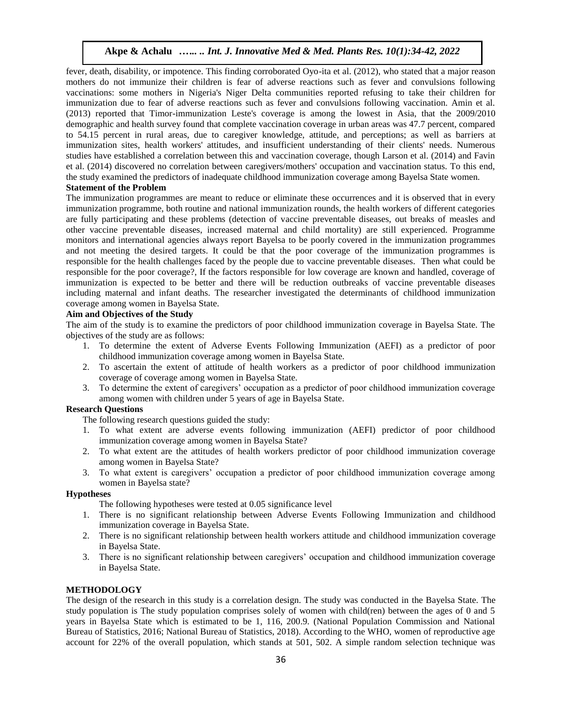fever, death, disability, or impotence. This finding corroborated Oyo-ita et al. (2012), who stated that a major reason mothers do not immunize their children is fear of adverse reactions such as fever and convulsions following vaccinations: some mothers in Nigeria's Niger Delta communities reported refusing to take their children for immunization due to fear of adverse reactions such as fever and convulsions following vaccination. Amin et al. (2013) reported that Timor-immunization Leste's coverage is among the lowest in Asia, that the 2009/2010 demographic and health survey found that complete vaccination coverage in urban areas was 47.7 percent, compared to 54.15 percent in rural areas, due to caregiver knowledge, attitude, and perceptions; as well as barriers at immunization sites, health workers' attitudes, and insufficient understanding of their clients' needs. Numerous studies have established a correlation between this and vaccination coverage, though Larson et al. (2014) and Favin et al. (2014) discovered no correlation between caregivers/mothers' occupation and vaccination status. To this end, the study examined the predictors of inadequate childhood immunization coverage among Bayelsa State women.

#### **Statement of the Problem**

The immunization programmes are meant to reduce or eliminate these occurrences and it is observed that in every immunization programme, both routine and national immunization rounds, the health workers of different categories are fully participating and these problems (detection of vaccine preventable diseases, out breaks of measles and other vaccine preventable diseases, increased maternal and child mortality) are still experienced. Programme monitors and international agencies always report Bayelsa to be poorly covered in the immunization programmes and not meeting the desired targets. It could be that the poor coverage of the immunization programmes is responsible for the health challenges faced by the people due to vaccine preventable diseases. Then what could be responsible for the poor coverage?, If the factors responsible for low coverage are known and handled, coverage of immunization is expected to be better and there will be reduction outbreaks of vaccine preventable diseases including maternal and infant deaths. The researcher investigated the determinants of childhood immunization coverage among women in Bayelsa State.

# **Aim and Objectives of the Study**

The aim of the study is to examine the predictors of poor childhood immunization coverage in Bayelsa State. The objectives of the study are as follows:

- 1. To determine the extent of Adverse Events Following Immunization (AEFI) as a predictor of poor childhood immunization coverage among women in Bayelsa State.
- 2. To ascertain the extent of attitude of health workers as a predictor of poor childhood immunization coverage of coverage among women in Bayelsa State.
- 3. To determine the extent of caregivers' occupation as a predictor of poor childhood immunization coverage among women with children under 5 years of age in Bayelsa State.

# **Research Questions**

The following research questions guided the study:

- 1. To what extent are adverse events following immunization (AEFI) predictor of poor childhood immunization coverage among women in Bayelsa State?
- 2. To what extent are the attitudes of health workers predictor of poor childhood immunization coverage among women in Bayelsa State?
- 3. To what extent is caregivers' occupation a predictor of poor childhood immunization coverage among women in Bayelsa state?

#### **Hypotheses**

The following hypotheses were tested at 0.05 significance level

- 1. There is no significant relationship between Adverse Events Following Immunization and childhood immunization coverage in Bayelsa State.
- 2. There is no significant relationship between health workers attitude and childhood immunization coverage in Bayelsa State.
- 3. There is no significant relationship between caregivers' occupation and childhood immunization coverage in Bayelsa State.

#### **METHODOLOGY**

The design of the research in this study is a correlation design. The study was conducted in the Bayelsa State. The study population is The study population comprises solely of women with child(ren) between the ages of 0 and 5 years in Bayelsa State which is estimated to be 1, 116, 200.9. (National Population Commission and National Bureau of Statistics, 2016; National Bureau of Statistics, 2018). According to the WHO, women of reproductive age account for 22% of the overall population, which stands at 501, 502. A simple random selection technique was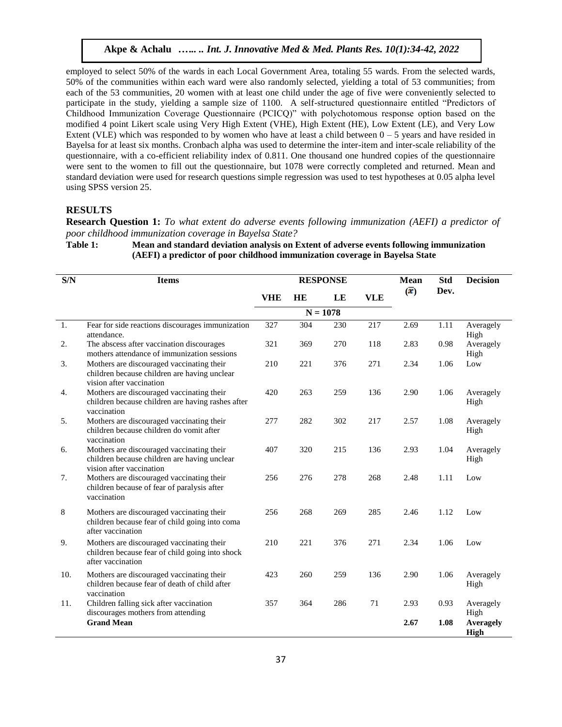employed to select 50% of the wards in each Local Government Area, totaling 55 wards. From the selected wards, 50% of the communities within each ward were also randomly selected, yielding a total of 53 communities; from each of the 53 communities, 20 women with at least one child under the age of five were conveniently selected to participate in the study, yielding a sample size of 1100. A self-structured questionnaire entitled "Predictors of Childhood Immunization Coverage Questionnaire (PCICQ)" with polychotomous response option based on the modified 4 point Likert scale using Very High Extent (VHE), High Extent (HE), Low Extent (LE), and Very Low Extent (VLE) which was responded to by women who have at least a child between  $0 - 5$  years and have resided in Bayelsa for at least six months. Cronbach alpha was used to determine the inter-item and inter-scale reliability of the questionnaire, with a co-efficient reliability index of 0.811. One thousand one hundred copies of the questionnaire were sent to the women to fill out the questionnaire, but 1078 were correctly completed and returned. Mean and standard deviation were used for research questions simple regression was used to test hypotheses at 0.05 alpha level using SPSS version 25.

#### **RESULTS**

**Research Question 1:** *To what extent do adverse events following immunization (AEFI) a predictor of poor childhood immunization coverage in Bayelsa State?*

**Table 1: Mean and standard deviation analysis on Extent of adverse events following immunization (AEFI) a predictor of poor childhood immunization coverage in Bayelsa State**

| S/N | <b>Items</b>                                                                                                          |            |     | <b>RESPONSE</b> |            | <b>Mean</b> | <b>Std</b><br>Dev. | <b>Decision</b>                 |
|-----|-----------------------------------------------------------------------------------------------------------------------|------------|-----|-----------------|------------|-------------|--------------------|---------------------------------|
|     |                                                                                                                       | <b>VHE</b> | HE  | LE              | <b>VLE</b> | $(\bar{x})$ |                    |                                 |
|     |                                                                                                                       |            |     | $N = 1078$      |            |             |                    |                                 |
| 1.  | Fear for side reactions discourages immunization<br>attendance.                                                       | 327        | 304 | 230             | 217        | 2.69        | 1.11               | Averagely<br>High               |
| 2.  | The abscess after vaccination discourages<br>mothers attendance of immunization sessions                              | 321        | 369 | 270             | 118        | 2.83        | 0.98               | Averagely<br>High               |
| 3.  | Mothers are discouraged vaccinating their<br>children because children are having unclear<br>vision after vaccination | 210        | 221 | 376             | 271        | 2.34        | 1.06               | Low                             |
| 4.  | Mothers are discouraged vaccinating their<br>children because children are having rashes after<br>vaccination         | 420        | 263 | 259             | 136        | 2.90        | 1.06               | Averagely<br>High               |
| 5.  | Mothers are discouraged vaccinating their<br>children because children do vomit after<br>vaccination                  | 277        | 282 | 302             | 217        | 2.57        | 1.08               | Averagely<br>High               |
| 6.  | Mothers are discouraged vaccinating their<br>children because children are having unclear<br>vision after vaccination | 407        | 320 | 215             | 136        | 2.93        | 1.04               | Averagely<br>High               |
| 7.  | Mothers are discouraged vaccinating their<br>children because of fear of paralysis after<br>vaccination               | 256        | 276 | 278             | 268        | 2.48        | 1.11               | Low                             |
| 8   | Mothers are discouraged vaccinating their<br>children because fear of child going into coma<br>after vaccination      | 256        | 268 | 269             | 285        | 2.46        | 1.12               | Low                             |
| 9.  | Mothers are discouraged vaccinating their<br>children because fear of child going into shock<br>after vaccination     | 210        | 221 | 376             | 271        | 2.34        | 1.06               | Low                             |
| 10. | Mothers are discouraged vaccinating their<br>children because fear of death of child after<br>vaccination             | 423        | 260 | 259             | 136        | 2.90        | 1.06               | Averagely<br>High               |
| 11. | Children falling sick after vaccination<br>discourages mothers from attending                                         | 357        | 364 | 286             | 71         | 2.93        | 0.93               | Averagely<br>High               |
|     | <b>Grand Mean</b>                                                                                                     |            |     |                 |            | 2.67        | 1.08               | <b>Averagely</b><br><b>High</b> |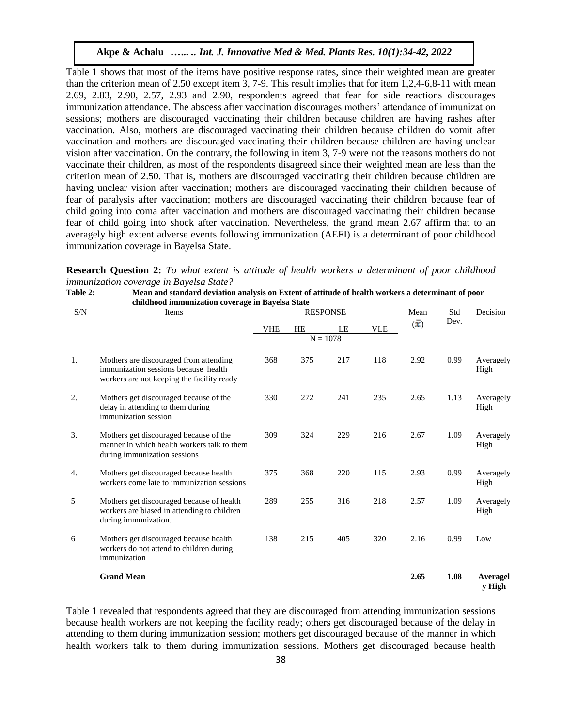Table 1 shows that most of the items have positive response rates, since their weighted mean are greater than the criterion mean of 2.50 except item 3, 7-9. This result implies that for item 1,2,4-6,8-11 with mean 2.69, 2.83, 2.90, 2.57, 2.93 and 2.90, respondents agreed that fear for side reactions discourages immunization attendance. The abscess after vaccination discourages mothers' attendance of immunization sessions; mothers are discouraged vaccinating their children because children are having rashes after vaccination. Also, mothers are discouraged vaccinating their children because children do vomit after vaccination and mothers are discouraged vaccinating their children because children are having unclear vision after vaccination. On the contrary, the following in item 3, 7-9 were not the reasons mothers do not vaccinate their children, as most of the respondents disagreed since their weighted mean are less than the criterion mean of 2.50. That is, mothers are discouraged vaccinating their children because children are having unclear vision after vaccination; mothers are discouraged vaccinating their children because of fear of paralysis after vaccination; mothers are discouraged vaccinating their children because fear of child going into coma after vaccination and mothers are discouraged vaccinating their children because fear of child going into shock after vaccination. Nevertheless, the grand mean 2.67 affirm that to an averagely high extent adverse events following immunization (AEFI) is a determinant of poor childhood immunization coverage in Bayelsa State.

|                                                |  |  |  |  | <b>Research Question 2:</b> To what extent is attitude of health workers a determinant of poor childhood |  |  |
|------------------------------------------------|--|--|--|--|----------------------------------------------------------------------------------------------------------|--|--|
| <i>immunization coverage in Bayelsa State?</i> |  |  |  |  |                                                                                                          |  |  |

| S/N | Items                                                                                                                        |            |     | <b>RESPONSE</b> | Mean       | Std       | Decision |                           |
|-----|------------------------------------------------------------------------------------------------------------------------------|------------|-----|-----------------|------------|-----------|----------|---------------------------|
|     |                                                                                                                              | <b>VHE</b> | HE  | LE              | <b>VLE</b> | $\bar{x}$ | Dev.     |                           |
|     |                                                                                                                              |            |     | $N = 1078$      |            |           |          |                           |
| 1.  | Mothers are discouraged from attending<br>immunization sessions because health<br>workers are not keeping the facility ready | 368        | 375 | 217             | 118        | 2.92      | 0.99     | Averagely<br>High         |
| 2.  | Mothers get discouraged because of the<br>delay in attending to them during<br>immunization session                          | 330        | 272 | 241             | 235        | 2.65      | 1.13     | Averagely<br>High         |
| 3.  | Mothers get discouraged because of the<br>manner in which health workers talk to them<br>during immunization sessions        | 309        | 324 | 229             | 216        | 2.67      | 1.09     | Averagely<br>High         |
| 4.  | Mothers get discouraged because health<br>workers come late to immunization sessions                                         | 375        | 368 | 220             | 115        | 2.93      | 0.99     | Averagely<br>High         |
| 5   | Mothers get discouraged because of health<br>workers are biased in attending to children<br>during immunization.             | 289        | 255 | 316             | 218        | 2.57      | 1.09     | Averagely<br>High         |
| 6   | Mothers get discouraged because health<br>workers do not attend to children during<br>immunization                           | 138        | 215 | 405             | 320        | 2.16      | 0.99     | Low                       |
|     | <b>Grand Mean</b>                                                                                                            |            |     |                 |            | 2.65      | 1.08     | <b>Averagel</b><br>v High |

| <b>Table 2:</b> | Mean and standard deviation analysis on Extent of attitude of health workers a determinant of poor |  |  |
|-----------------|----------------------------------------------------------------------------------------------------|--|--|
|                 | childhood immunization coverage in Bayelsa State                                                   |  |  |
|                 | ________                                                                                           |  |  |

Table 1 revealed that respondents agreed that they are discouraged from attending immunization sessions because health workers are not keeping the facility ready; others get discouraged because of the delay in attending to them during immunization session; mothers get discouraged because of the manner in which health workers talk to them during immunization sessions. Mothers get discouraged because health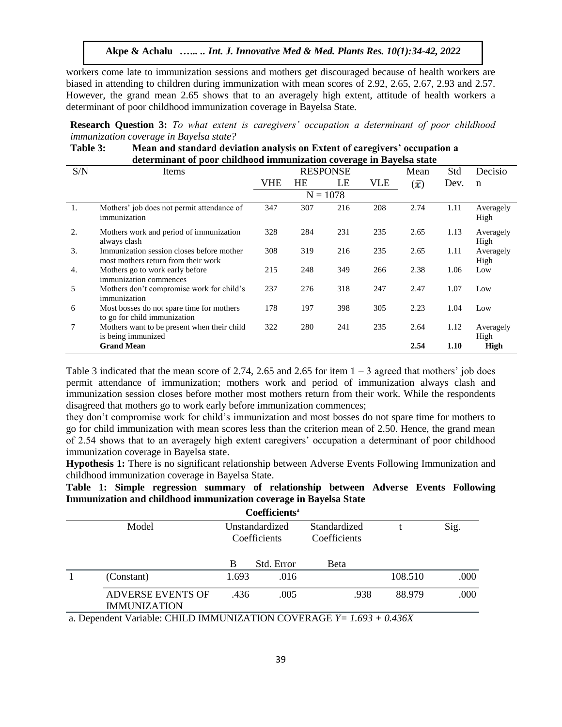workers come late to immunization sessions and mothers get discouraged because of health workers are biased in attending to children during immunization with mean scores of 2.92, 2.65, 2.67, 2.93 and 2.57. However, the grand mean 2.65 shows that to an averagely high extent, attitude of health workers a determinant of poor childhood immunization coverage in Bayelsa State.

**Research Question 3:** *To what extent is caregivers' occupation a determinant of poor childhood immunization coverage in Bayelsa state?*

**Table 3: Mean and standard deviation analysis on Extent of caregivers' occupation a determinant of poor childhood immunization coverage in Bayelsa state**

| S/N | Items                                                                            |     |           | <b>RESPONSE</b> | Mean | Std       | Decisio |                   |
|-----|----------------------------------------------------------------------------------|-----|-----------|-----------------|------|-----------|---------|-------------------|
|     |                                                                                  | VHE | <b>HE</b> | LE              | VLE  | $\bar{x}$ | Dev.    | n                 |
|     |                                                                                  |     |           | $N = 1078$      |      |           |         |                   |
| 1.  | Mothers' job does not permit attendance of<br>immunization                       | 347 | 307       | 216             | 208  | 2.74      | 1.11    | Averagely<br>High |
| 2.  | Mothers work and period of immunization<br>always clash                          | 328 | 284       | 231             | 235  | 2.65      | 1.13    | Averagely<br>High |
| 3.  | Immunization session closes before mother<br>most mothers return from their work | 308 | 319       | 216             | 235  | 2.65      | 1.11    | Averagely<br>High |
| 4.  | Mothers go to work early before<br>immunization commences                        | 215 | 248       | 349             | 266  | 2.38      | 1.06    | Low               |
| 5   | Mothers don't compromise work for child's<br>immunization                        | 237 | 276       | 318             | 247  | 2.47      | 1.07    | Low               |
| 6   | Most bosses do not spare time for mothers<br>to go for child immunization        | 178 | 197       | 398             | 305  | 2.23      | 1.04    | Low               |
| 7   | Mothers want to be present when their child<br>is being immunized                | 322 | 280       | 241             | 235  | 2.64      | 1.12    | Averagely<br>High |
|     | <b>Grand Mean</b>                                                                |     |           |                 |      | 2.54      | 1.10    | <b>High</b>       |

Table 3 indicated that the mean score of 2.74, 2.65 and 2.65 for item  $1 - 3$  agreed that mothers' job does permit attendance of immunization; mothers work and period of immunization always clash and immunization session closes before mother most mothers return from their work. While the respondents disagreed that mothers go to work early before immunization commences;

they don't compromise work for child's immunization and most bosses do not spare time for mothers to go for child immunization with mean scores less than the criterion mean of 2.50. Hence, the grand mean of 2.54 shows that to an averagely high extent caregivers' occupation a determinant of poor childhood immunization coverage in Bayelsa state.

**Hypothesis 1:** There is no significant relationship between Adverse Events Following Immunization and childhood immunization coverage in Bayelsa State.

# **Table 1: Simple regression summary of relationship between Adverse Events Following Immunization and childhood immunization coverage in Bayelsa State**

|                                                 |       | Coefficients <sup>a</sup>      |                              |         |      |
|-------------------------------------------------|-------|--------------------------------|------------------------------|---------|------|
| Model                                           |       | Unstandardized<br>Coefficients | Standardized<br>Coefficients |         | Sig. |
|                                                 | B     | Std. Error                     | Beta                         |         |      |
| (Constant)                                      | 1.693 | .016                           |                              | 108.510 | .000 |
| <b>ADVERSE EVENTS OF</b><br><b>IMMUNIZATION</b> | .436  | .005                           | .938                         | 88.979  | .000 |

a. Dependent Variable: CHILD IMMUNIZATION COVERAGE *Y= 1.693 + 0.436X*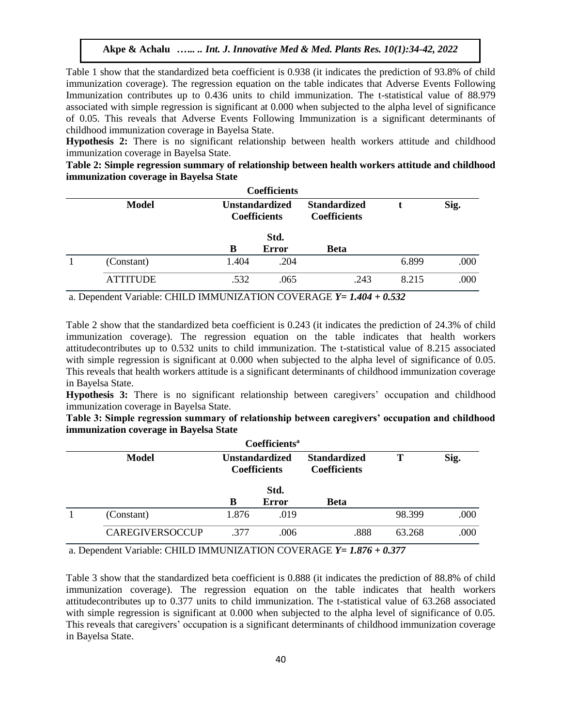Table 1 show that the standardized beta coefficient is 0.938 (it indicates the prediction of 93.8% of child immunization coverage). The regression equation on the table indicates that Adverse Events Following Immunization contributes up to 0.436 units to child immunization. The t-statistical value of 88.979 associated with simple regression is significant at 0.000 when subjected to the alpha level of significance of 0.05. This reveals that Adverse Events Following Immunization is a significant determinants of childhood immunization coverage in Bayelsa State.

**Hypothesis 2:** There is no significant relationship between health workers attitude and childhood immunization coverage in Bayelsa State.

**Table 2: Simple regression summary of relationship between health workers attitude and childhood immunization coverage in Bayelsa State**

|                 |       | <b>Coefficients</b>                          |                                            |       |      |
|-----------------|-------|----------------------------------------------|--------------------------------------------|-------|------|
| <b>Model</b>    |       | <b>Unstandardized</b><br><b>Coefficients</b> | <b>Standardized</b><br><b>Coefficients</b> |       | Sig. |
|                 | B     | Std.<br><b>Error</b>                         | <b>Beta</b>                                |       |      |
| (Constant)      | 1.404 | .204                                         |                                            | 6.899 | .000 |
| <b>ATTITUDE</b> | .532  | .065                                         | .243                                       | 8.215 | .000 |

a. Dependent Variable: CHILD IMMUNIZATION COVERAGE *Y= 1.404 + 0.532*

Table 2 show that the standardized beta coefficient is 0.243 (it indicates the prediction of 24.3% of child immunization coverage). The regression equation on the table indicates that health workers attitudecontributes up to 0.532 units to child immunization. The t-statistical value of 8.215 associated with simple regression is significant at 0.000 when subjected to the alpha level of significance of 0.05. This reveals that health workers attitude is a significant determinants of childhood immunization coverage in Bayelsa State.

**Hypothesis 3:** There is no significant relationship between caregivers' occupation and childhood immunization coverage in Bayelsa State.

**Table 3: Simple regression summary of relationship between caregivers' occupation and childhood immunization coverage in Bayelsa State**

|                        |       | <b>Coefficients<sup>a</sup></b>              |                                            |        |      |
|------------------------|-------|----------------------------------------------|--------------------------------------------|--------|------|
| <b>Model</b>           |       | <b>Unstandardized</b><br><b>Coefficients</b> | <b>Standardized</b><br><b>Coefficients</b> | Т      | Sig. |
|                        |       | Std.                                         |                                            |        |      |
|                        | В     | Error                                        | <b>Beta</b>                                |        |      |
| (Constant)             | 1.876 | .019                                         |                                            | 98.399 | .000 |
| <b>CAREGIVERSOCCUP</b> | .377  | .006                                         | .888                                       | 63.268 | .000 |

a. Dependent Variable: CHILD IMMUNIZATION COVERAGE *Y= 1.876 + 0.377*

Table 3 show that the standardized beta coefficient is 0.888 (it indicates the prediction of 88.8% of child immunization coverage). The regression equation on the table indicates that health workers attitudecontributes up to 0.377 units to child immunization. The t-statistical value of 63.268 associated with simple regression is significant at 0.000 when subjected to the alpha level of significance of 0.05. This reveals that caregivers' occupation is a significant determinants of childhood immunization coverage in Bayelsa State.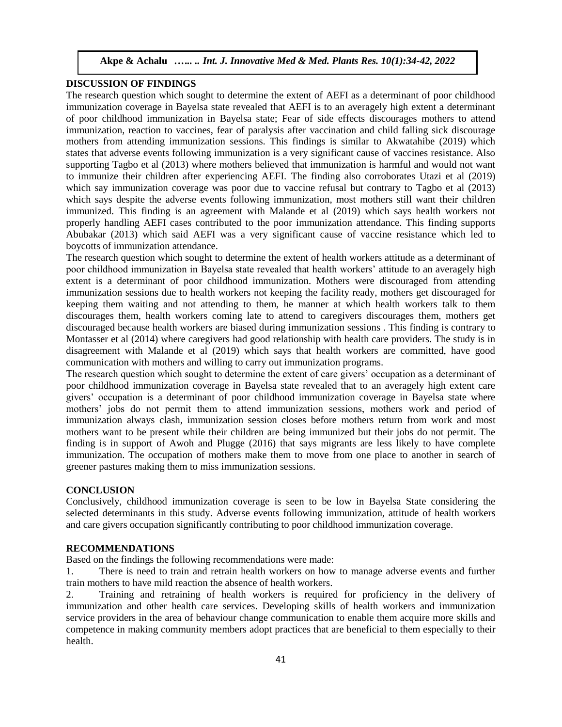# **DISCUSSION OF FINDINGS**

The research question which sought to determine the extent of AEFI as a determinant of poor childhood immunization coverage in Bayelsa state revealed that AEFI is to an averagely high extent a determinant of poor childhood immunization in Bayelsa state; Fear of side effects discourages mothers to attend immunization, reaction to vaccines, fear of paralysis after vaccination and child falling sick discourage mothers from attending immunization sessions. This findings is similar to Akwatahibe (2019) which states that adverse events following immunization is a very significant cause of vaccines resistance. Also supporting Tagbo et al (2013) where mothers believed that immunization is harmful and would not want to immunize their children after experiencing AEFI. The finding also corroborates Utazi et al (2019) which say immunization coverage was poor due to vaccine refusal but contrary to Tagbo et al (2013) which says despite the adverse events following immunization, most mothers still want their children immunized. This finding is an agreement with Malande et al (2019) which says health workers not properly handling AEFI cases contributed to the poor immunization attendance. This finding supports Abubakar (2013) which said AEFI was a very significant cause of vaccine resistance which led to boycotts of immunization attendance.

The research question which sought to determine the extent of health workers attitude as a determinant of poor childhood immunization in Bayelsa state revealed that health workers' attitude to an averagely high extent is a determinant of poor childhood immunization. Mothers were discouraged from attending immunization sessions due to health workers not keeping the facility ready, mothers get discouraged for keeping them waiting and not attending to them, he manner at which health workers talk to them discourages them, health workers coming late to attend to caregivers discourages them, mothers get discouraged because health workers are biased during immunization sessions . This finding is contrary to Montasser et al (2014) where caregivers had good relationship with health care providers. The study is in disagreement with Malande et al (2019) which says that health workers are committed, have good communication with mothers and willing to carry out immunization programs.

The research question which sought to determine the extent of care givers' occupation as a determinant of poor childhood immunization coverage in Bayelsa state revealed that to an averagely high extent care givers' occupation is a determinant of poor childhood immunization coverage in Bayelsa state where mothers' jobs do not permit them to attend immunization sessions, mothers work and period of immunization always clash, immunization session closes before mothers return from work and most mothers want to be present while their children are being immunized but their jobs do not permit. The finding is in support of Awoh and Plugge (2016) that says migrants are less likely to have complete immunization. The occupation of mothers make them to move from one place to another in search of greener pastures making them to miss immunization sessions.

# **CONCLUSION**

Conclusively, childhood immunization coverage is seen to be low in Bayelsa State considering the selected determinants in this study. Adverse events following immunization, attitude of health workers and care givers occupation significantly contributing to poor childhood immunization coverage.

# **RECOMMENDATIONS**

Based on the findings the following recommendations were made:

1. There is need to train and retrain health workers on how to manage adverse events and further train mothers to have mild reaction the absence of health workers.

2. Training and retraining of health workers is required for proficiency in the delivery of immunization and other health care services. Developing skills of health workers and immunization service providers in the area of behaviour change communication to enable them acquire more skills and competence in making community members adopt practices that are beneficial to them especially to their health.